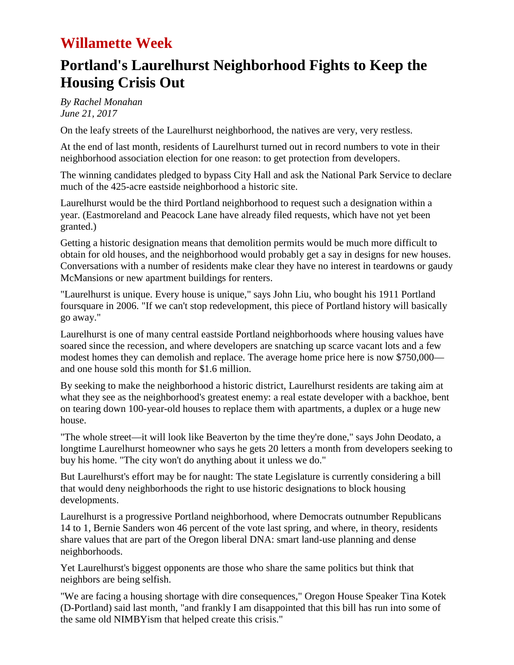## **Willamette Week**

# **Portland's Laurelhurst Neighborhood Fights to Keep the Housing Crisis Out**

*By Rachel Monahan June 21, 2017*

On the leafy streets of the Laurelhurst neighborhood, the natives are very, very restless.

At the end of last month, residents of Laurelhurst turned out in record numbers to vote in their neighborhood association election for one reason: to get protection from developers.

The winning candidates pledged to bypass City Hall and ask the National Park Service to declare much of the 425-acre eastside neighborhood a historic site.

Laurelhurst would be the third Portland neighborhood to request such a designation within a year. (Eastmoreland and Peacock Lane have already filed requests, which have not yet been granted.)

Getting a historic designation means that demolition permits would be much more difficult to obtain for old houses, and the neighborhood would probably get a say in designs for new houses. Conversations with a number of residents make clear they have no interest in teardowns or gaudy McMansions or new apartment buildings for renters.

"Laurelhurst is unique. Every house is unique," says John Liu, who bought his 1911 Portland foursquare in 2006. "If we can't stop redevelopment, this piece of Portland history will basically go away."

Laurelhurst is one of many central eastside Portland neighborhoods where housing values have soared since the recession, and where developers are snatching up scarce vacant lots and a few modest homes they can demolish and replace. The average home price here is now \$750,000 and one house sold this month for \$1.6 million.

By seeking to make the neighborhood a historic district, Laurelhurst residents are taking aim at what they see as the neighborhood's greatest enemy: a real estate developer with a backhoe, bent on tearing down 100-year-old houses to replace them with apartments, a duplex or a huge new house.

"The whole street—it will look like Beaverton by the time they're done," says John Deodato, a longtime Laurelhurst homeowner who says he gets 20 letters a month from developers seeking to buy his home. "The city won't do anything about it unless we do."

But Laurelhurst's effort may be for naught: The state Legislature is currently considering a bill that would deny neighborhoods the right to use historic designations to block housing developments.

Laurelhurst is a progressive Portland neighborhood, where Democrats outnumber Republicans 14 to 1, Bernie Sanders won 46 percent of the vote last spring, and where, in theory, residents share values that are part of the Oregon liberal DNA: smart land-use planning and dense neighborhoods.

Yet Laurelhurst's biggest opponents are those who share the same politics but think that neighbors are being selfish.

"We are facing a housing shortage with dire consequences," Oregon House Speaker Tina Kotek (D-Portland) said last month, "and frankly I am disappointed that this bill has run into some of the same old NIMBYism that helped create this crisis."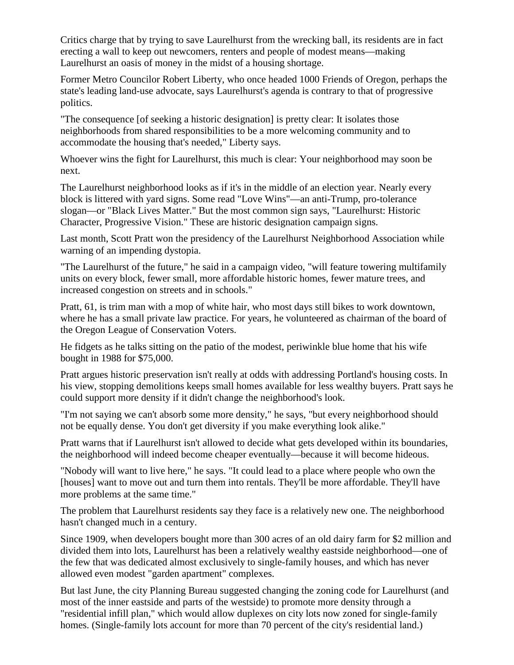Critics charge that by trying to save Laurelhurst from the wrecking ball, its residents are in fact erecting a wall to keep out newcomers, renters and people of modest means—making Laurelhurst an oasis of money in the midst of a housing shortage.

Former Metro Councilor Robert Liberty, who once headed 1000 Friends of Oregon, perhaps the state's leading land-use advocate, says Laurelhurst's agenda is contrary to that of progressive politics.

"The consequence [of seeking a historic designation] is pretty clear: It isolates those neighborhoods from shared responsibilities to be a more welcoming community and to accommodate the housing that's needed," Liberty says.

Whoever wins the fight for Laurelhurst, this much is clear: Your neighborhood may soon be next.

The Laurelhurst neighborhood looks as if it's in the middle of an election year. Nearly every block is littered with yard signs. Some read "Love Wins"—an anti-Trump, pro-tolerance slogan—or "Black Lives Matter." But the most common sign says, "Laurelhurst: Historic Character, Progressive Vision." These are historic designation campaign signs.

Last month, Scott Pratt won the presidency of the Laurelhurst Neighborhood Association while warning of an impending dystopia.

"The Laurelhurst of the future," he said in a campaign video, "will feature towering multifamily units on every block, fewer small, more affordable historic homes, fewer mature trees, and increased congestion on streets and in schools."

Pratt, 61, is trim man with a mop of white hair, who most days still bikes to work downtown, where he has a small private law practice. For years, he volunteered as chairman of the board of the Oregon League of Conservation Voters.

He fidgets as he talks sitting on the patio of the modest, periwinkle blue home that his wife bought in 1988 for \$75,000.

Pratt argues historic preservation isn't really at odds with addressing Portland's housing costs. In his view, stopping demolitions keeps small homes available for less wealthy buyers. Pratt says he could support more density if it didn't change the neighborhood's look.

"I'm not saying we can't absorb some more density," he says, "but every neighborhood should not be equally dense. You don't get diversity if you make everything look alike."

Pratt warns that if Laurelhurst isn't allowed to decide what gets developed within its boundaries, the neighborhood will indeed become cheaper eventually—because it will become hideous.

"Nobody will want to live here," he says. "It could lead to a place where people who own the [houses] want to move out and turn them into rentals. They'll be more affordable. They'll have more problems at the same time."

The problem that Laurelhurst residents say they face is a relatively new one. The neighborhood hasn't changed much in a century.

Since 1909, when developers bought more than 300 acres of an old dairy farm for \$2 million and divided them into lots, Laurelhurst has been a relatively wealthy eastside neighborhood—one of the few that was dedicated almost exclusively to single-family houses, and which has never allowed even modest "garden apartment" complexes.

But last June, the city Planning Bureau suggested changing the zoning code for Laurelhurst (and most of the inner eastside and parts of the westside) to promote more density through a "residential infill plan," which would allow duplexes on city lots now zoned for single-family homes. (Single-family lots account for more than 70 percent of the city's residential land.)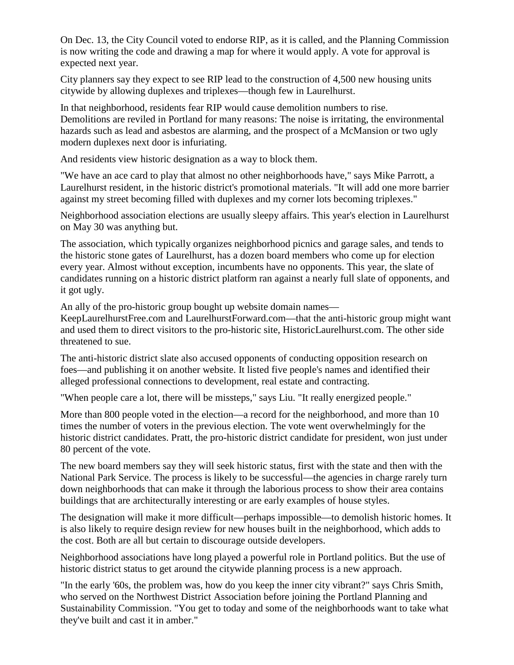On Dec. 13, the City Council voted to endorse RIP, as it is called, and the Planning Commission is now writing the code and drawing a map for where it would apply. A vote for approval is expected next year.

City planners say they expect to see RIP lead to the construction of 4,500 new housing units citywide by allowing duplexes and triplexes—though few in Laurelhurst.

In that neighborhood, residents fear RIP would cause demolition numbers to rise. Demolitions are reviled in Portland for many reasons: The noise is irritating, the environmental hazards such as lead and asbestos are alarming, and the prospect of a McMansion or two ugly modern duplexes next door is infuriating.

And residents view historic designation as a way to block them.

"We have an ace card to play that almost no other neighborhoods have," says Mike Parrott, a Laurelhurst resident, in the historic district's promotional materials. "It will add one more barrier against my street becoming filled with duplexes and my corner lots becoming triplexes."

Neighborhood association elections are usually sleepy affairs. This year's election in Laurelhurst on May 30 was anything but.

The association, which typically organizes neighborhood picnics and garage sales, and tends to the historic stone gates of Laurelhurst, has a dozen board members who come up for election every year. Almost without exception, incumbents have no opponents. This year, the slate of candidates running on a historic district platform ran against a nearly full slate of opponents, and it got ugly.

An ally of the pro-historic group bought up website domain names—

KeepLaurelhurstFree.com and LaurelhurstForward.com—that the anti-historic group might want and used them to direct visitors to the pro-historic site, HistoricLaurelhurst.com. The other side threatened to sue.

The anti-historic district slate also accused opponents of conducting opposition research on foes—and publishing it on another website. It listed five people's names and identified their alleged professional connections to development, real estate and contracting.

"When people care a lot, there will be missteps," says Liu. "It really energized people."

More than 800 people voted in the election—a record for the neighborhood, and more than 10 times the number of voters in the previous election. The vote went overwhelmingly for the historic district candidates. Pratt, the pro-historic district candidate for president, won just under 80 percent of the vote.

The new board members say they will seek historic status, first with the state and then with the National Park Service. The process is likely to be successful—the agencies in charge rarely turn down neighborhoods that can make it through the laborious process to show their area contains buildings that are architecturally interesting or are early examples of house styles.

The designation will make it more difficult—perhaps impossible—to demolish historic homes. It is also likely to require design review for new houses built in the neighborhood, which adds to the cost. Both are all but certain to discourage outside developers.

Neighborhood associations have long played a powerful role in Portland politics. But the use of historic district status to get around the citywide planning process is a new approach.

"In the early '60s, the problem was, how do you keep the inner city vibrant?" says Chris Smith, who served on the Northwest District Association before joining the Portland Planning and Sustainability Commission. "You get to today and some of the neighborhoods want to take what they've built and cast it in amber."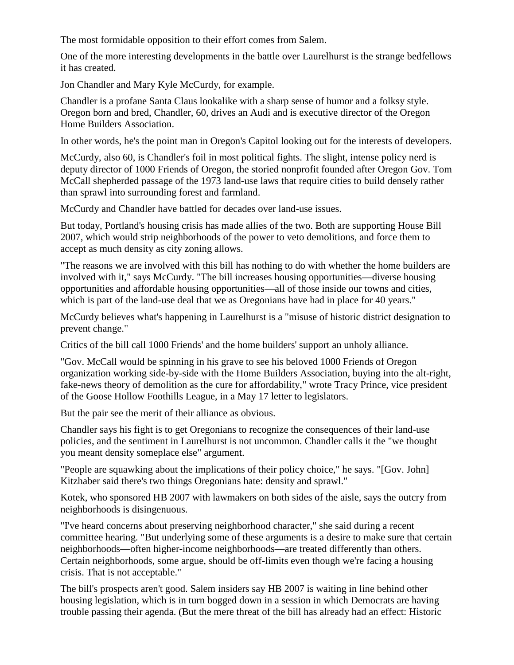The most formidable opposition to their effort comes from Salem.

One of the more interesting developments in the battle over Laurelhurst is the strange bedfellows it has created.

Jon Chandler and Mary Kyle McCurdy, for example.

Chandler is a profane Santa Claus lookalike with a sharp sense of humor and a folksy style. Oregon born and bred, Chandler, 60, drives an Audi and is executive director of the Oregon Home Builders Association.

In other words, he's the point man in Oregon's Capitol looking out for the interests of developers.

McCurdy, also 60, is Chandler's foil in most political fights. The slight, intense policy nerd is deputy director of 1000 Friends of Oregon, the storied nonprofit founded after Oregon Gov. Tom McCall shepherded passage of the 1973 land-use laws that require cities to build densely rather than sprawl into surrounding forest and farmland.

McCurdy and Chandler have battled for decades over land-use issues.

But today, Portland's housing crisis has made allies of the two. Both are supporting House Bill 2007, which would strip neighborhoods of the power to veto demolitions, and force them to accept as much density as city zoning allows.

"The reasons we are involved with this bill has nothing to do with whether the home builders are involved with it," says McCurdy. "The bill increases housing opportunities—diverse housing opportunities and affordable housing opportunities—all of those inside our towns and cities, which is part of the land-use deal that we as Oregonians have had in place for 40 years."

McCurdy believes what's happening in Laurelhurst is a "misuse of historic district designation to prevent change."

Critics of the bill call 1000 Friends' and the home builders' support an unholy alliance.

"Gov. McCall would be spinning in his grave to see his beloved 1000 Friends of Oregon organization working side-by-side with the Home Builders Association, buying into the alt-right, fake-news theory of demolition as the cure for affordability," wrote Tracy Prince, vice president of the Goose Hollow Foothills League, in a May 17 letter to legislators.

But the pair see the merit of their alliance as obvious.

Chandler says his fight is to get Oregonians to recognize the consequences of their land-use policies, and the sentiment in Laurelhurst is not uncommon. Chandler calls it the "we thought you meant density someplace else" argument.

"People are squawking about the implications of their policy choice," he says. "[Gov. John] Kitzhaber said there's two things Oregonians hate: density and sprawl."

Kotek, who sponsored HB 2007 with lawmakers on both sides of the aisle, says the outcry from neighborhoods is disingenuous.

"I've heard concerns about preserving neighborhood character," she said during a recent committee hearing. "But underlying some of these arguments is a desire to make sure that certain neighborhoods—often higher-income neighborhoods—are treated differently than others. Certain neighborhoods, some argue, should be off-limits even though we're facing a housing crisis. That is not acceptable."

The bill's prospects aren't good. Salem insiders say HB 2007 is waiting in line behind other housing legislation, which is in turn bogged down in a session in which Democrats are having trouble passing their agenda. (But the mere threat of the bill has already had an effect: Historic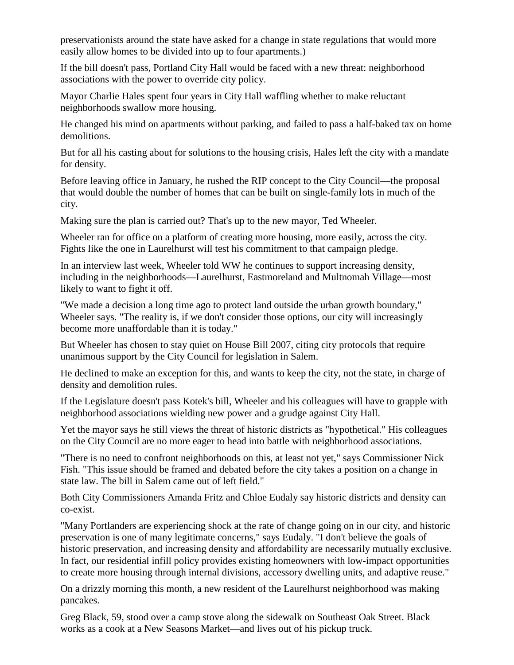preservationists around the state have asked for a change in state regulations that would more easily allow homes to be divided into up to four apartments.)

If the bill doesn't pass, Portland City Hall would be faced with a new threat: neighborhood associations with the power to override city policy.

Mayor Charlie Hales spent four years in City Hall waffling whether to make reluctant neighborhoods swallow more housing.

He changed his mind on apartments without parking, and failed to pass a half-baked tax on home demolitions.

But for all his casting about for solutions to the housing crisis, Hales left the city with a mandate for density.

Before leaving office in January, he rushed the RIP concept to the City Council—the proposal that would double the number of homes that can be built on single-family lots in much of the city.

Making sure the plan is carried out? That's up to the new mayor, Ted Wheeler.

Wheeler ran for office on a platform of creating more housing, more easily, across the city. Fights like the one in Laurelhurst will test his commitment to that campaign pledge.

In an interview last week, Wheeler told WW he continues to support increasing density, including in the neighborhoods—Laurelhurst, Eastmoreland and Multnomah Village—most likely to want to fight it off.

"We made a decision a long time ago to protect land outside the urban growth boundary," Wheeler says. "The reality is, if we don't consider those options, our city will increasingly become more unaffordable than it is today."

But Wheeler has chosen to stay quiet on House Bill 2007, citing city protocols that require unanimous support by the City Council for legislation in Salem.

He declined to make an exception for this, and wants to keep the city, not the state, in charge of density and demolition rules.

If the Legislature doesn't pass Kotek's bill, Wheeler and his colleagues will have to grapple with neighborhood associations wielding new power and a grudge against City Hall.

Yet the mayor says he still views the threat of historic districts as "hypothetical." His colleagues on the City Council are no more eager to head into battle with neighborhood associations.

"There is no need to confront neighborhoods on this, at least not yet," says Commissioner Nick Fish. "This issue should be framed and debated before the city takes a position on a change in state law. The bill in Salem came out of left field."

Both City Commissioners Amanda Fritz and Chloe Eudaly say historic districts and density can co-exist.

"Many Portlanders are experiencing shock at the rate of change going on in our city, and historic preservation is one of many legitimate concerns," says Eudaly. "I don't believe the goals of historic preservation, and increasing density and affordability are necessarily mutually exclusive. In fact, our residential infill policy provides existing homeowners with low-impact opportunities to create more housing through internal divisions, accessory dwelling units, and adaptive reuse."

On a drizzly morning this month, a new resident of the Laurelhurst neighborhood was making pancakes.

Greg Black, 59, stood over a camp stove along the sidewalk on Southeast Oak Street. Black works as a cook at a New Seasons Market—and lives out of his pickup truck.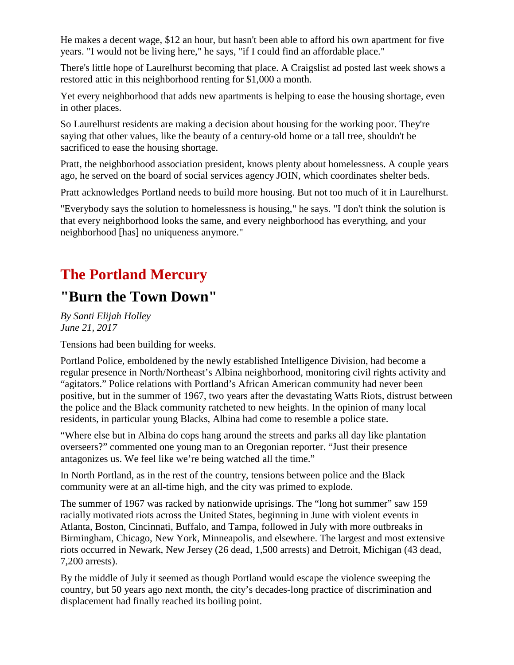He makes a decent wage, \$12 an hour, but hasn't been able to afford his own apartment for five years. "I would not be living here," he says, "if I could find an affordable place."

There's little hope of Laurelhurst becoming that place. A Craigslist ad posted last week shows a restored attic in this neighborhood renting for \$1,000 a month.

Yet every neighborhood that adds new apartments is helping to ease the housing shortage, even in other places.

So Laurelhurst residents are making a decision about housing for the working poor. They're saying that other values, like the beauty of a century-old home or a tall tree, shouldn't be sacrificed to ease the housing shortage.

Pratt, the neighborhood association president, knows plenty about homelessness. A couple years ago, he served on the board of social services agency JOIN, which coordinates shelter beds.

Pratt acknowledges Portland needs to build more housing. But not too much of it in Laurelhurst.

"Everybody says the solution to homelessness is housing," he says. "I don't think the solution is that every neighborhood looks the same, and every neighborhood has everything, and your neighborhood [has] no uniqueness anymore."

## **The Portland Mercury**

#### **"Burn the Town Down"**

*By Santi Elijah Holley June 21, 2017*

Tensions had been building for weeks.

Portland Police, emboldened by the newly established Intelligence Division, had become a regular presence in North/Northeast's Albina neighborhood, monitoring civil rights activity and "agitators." Police relations with Portland's African American community had never been positive, but in the summer of 1967, two years after the devastating Watts Riots, distrust between the police and the Black community ratcheted to new heights. In the opinion of many local residents, in particular young Blacks, Albina had come to resemble a police state.

"Where else but in Albina do cops hang around the streets and parks all day like plantation overseers?" commented one young man to an Oregonian reporter. "Just their presence antagonizes us. We feel like we're being watched all the time."

In North Portland, as in the rest of the country, tensions between police and the Black community were at an all-time high, and the city was primed to explode.

The summer of 1967 was racked by nationwide uprisings. The "long hot summer" saw 159 racially motivated riots across the United States, beginning in June with violent events in Atlanta, Boston, Cincinnati, Buffalo, and Tampa, followed in July with more outbreaks in Birmingham, Chicago, New York, Minneapolis, and elsewhere. The largest and most extensive riots occurred in Newark, New Jersey (26 dead, 1,500 arrests) and Detroit, Michigan (43 dead, 7,200 arrests).

By the middle of July it seemed as though Portland would escape the violence sweeping the country, but 50 years ago next month, the city's decades-long practice of discrimination and displacement had finally reached its boiling point.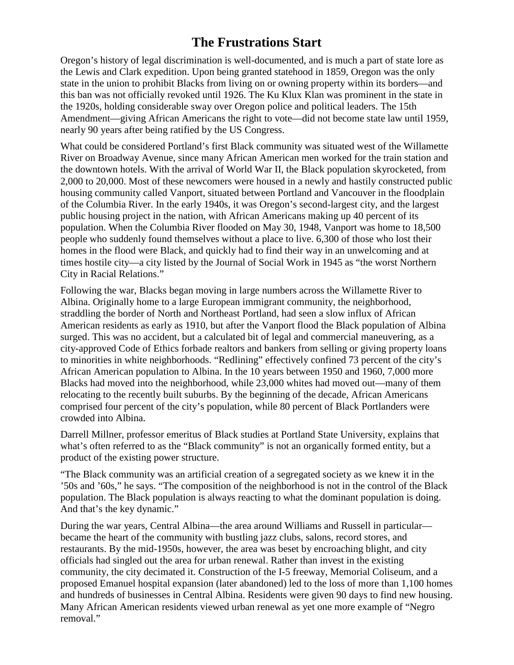#### **The Frustrations Start**

Oregon's history of legal discrimination is well-documented, and is much a part of state lore as the Lewis and Clark expedition. Upon being granted statehood in 1859, Oregon was the only state in the union to prohibit Blacks from living on or owning property within its borders—and this ban was not officially revoked until 1926. The Ku Klux Klan was prominent in the state in the 1920s, holding considerable sway over Oregon police and political leaders. The 15th Amendment—giving African Americans the right to vote—did not become state law until 1959, nearly 90 years after being ratified by the US Congress.

What could be considered Portland's first Black community was situated west of the Willamette River on Broadway Avenue, since many African American men worked for the train station and the downtown hotels. With the arrival of World War II, the Black population skyrocketed, from 2,000 to 20,000. Most of these newcomers were housed in a newly and hastily constructed public housing community called Vanport, situated between Portland and Vancouver in the floodplain of the Columbia River. In the early 1940s, it was Oregon's second-largest city, and the largest public housing project in the nation, with African Americans making up 40 percent of its population. When the Columbia River flooded on May 30, 1948, Vanport was home to 18,500 people who suddenly found themselves without a place to live. 6,300 of those who lost their homes in the flood were Black, and quickly had to find their way in an unwelcoming and at times hostile city—a city listed by the Journal of Social Work in 1945 as "the worst Northern City in Racial Relations."

Following the war, Blacks began moving in large numbers across the Willamette River to Albina. Originally home to a large European immigrant community, the neighborhood, straddling the border of North and Northeast Portland, had seen a slow influx of African American residents as early as 1910, but after the Vanport flood the Black population of Albina surged. This was no accident, but a calculated bit of legal and commercial maneuvering, as a city-approved Code of Ethics forbade realtors and bankers from selling or giving property loans to minorities in white neighborhoods. "Redlining" effectively confined 73 percent of the city's African American population to Albina. In the 10 years between 1950 and 1960, 7,000 more Blacks had moved into the neighborhood, while 23,000 whites had moved out—many of them relocating to the recently built suburbs. By the beginning of the decade, African Americans comprised four percent of the city's population, while 80 percent of Black Portlanders were crowded into Albina.

Darrell Millner, professor emeritus of Black studies at Portland State University, explains that what's often referred to as the "Black community" is not an organically formed entity, but a product of the existing power structure.

"The Black community was an artificial creation of a segregated society as we knew it in the '50s and '60s," he says. "The composition of the neighborhood is not in the control of the Black population. The Black population is always reacting to what the dominant population is doing. And that's the key dynamic."

During the war years, Central Albina—the area around Williams and Russell in particular became the heart of the community with bustling jazz clubs, salons, record stores, and restaurants. By the mid-1950s, however, the area was beset by encroaching blight, and city officials had singled out the area for urban renewal. Rather than invest in the existing community, the city decimated it. Construction of the I-5 freeway, Memorial Coliseum, and a proposed Emanuel hospital expansion (later abandoned) led to the loss of more than 1,100 homes and hundreds of businesses in Central Albina. Residents were given 90 days to find new housing. Many African American residents viewed urban renewal as yet one more example of "Negro removal."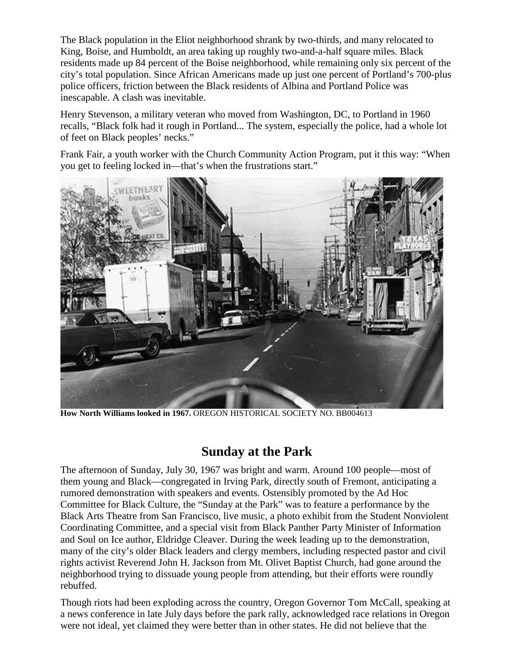The Black population in the Eliot neighborhood shrank by two-thirds, and many relocated to King, Boise, and Humboldt, an area taking up roughly two-and-a-half square miles. Black residents made up 84 percent of the Boise neighborhood, while remaining only six percent of the city's total population. Since African Americans made up just one percent of Portland's 700-plus police officers, friction between the Black residents of Albina and Portland Police was inescapable. A clash was inevitable.

Henry Stevenson, a military veteran who moved from Washington, DC, to Portland in 1960 recalls, "Black folk had it rough in Portland... The system, especially the police, had a whole lot of feet on Black peoples' necks."

Frank Fair, a youth worker with the Church Community Action Program, put it this way: "When you get to feeling locked in—that's when the frustrations start."



**How North Williams looked in 1967.** OREGON HISTORICAL SOCIETY NO. BB004613

#### **Sunday at the Park**

The afternoon of Sunday, July 30, 1967 was bright and warm. Around 100 people—most of them young and Black—congregated in Irving Park, directly south of Fremont, anticipating a rumored demonstration with speakers and events. Ostensibly promoted by the Ad Hoc Committee for Black Culture, the "Sunday at the Park" was to feature a performance by the Black Arts Theatre from San Francisco, live music, a photo exhibit from the Student Nonviolent Coordinating Committee, and a special visit from Black Panther Party Minister of Information and Soul on Ice author, Eldridge Cleaver. During the week leading up to the demonstration, many of the city's older Black leaders and clergy members, including respected pastor and civil rights activist Reverend John H. Jackson from Mt. Olivet Baptist Church, had gone around the neighborhood trying to dissuade young people from attending, but their efforts were roundly rebuffed.

Though riots had been exploding across the country, Oregon Governor Tom McCall, speaking at a news conference in late July days before the park rally, acknowledged race relations in Oregon were not ideal, yet claimed they were better than in other states. He did not believe that the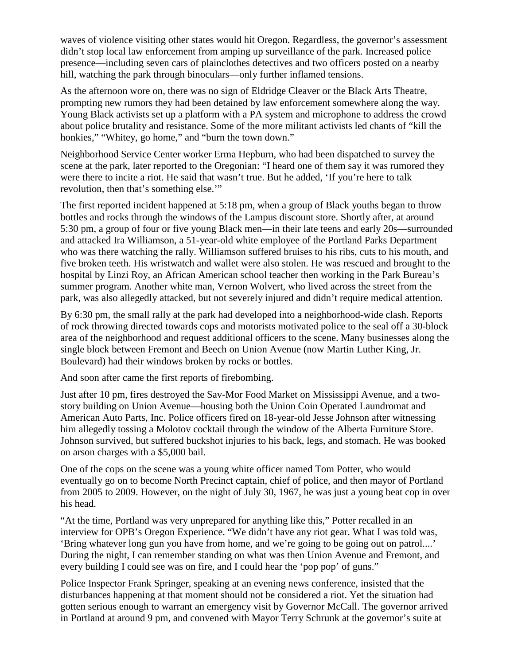waves of violence visiting other states would hit Oregon. Regardless, the governor's assessment didn't stop local law enforcement from amping up surveillance of the park. Increased police presence—including seven cars of plainclothes detectives and two officers posted on a nearby hill, watching the park through binoculars—only further inflamed tensions.

As the afternoon wore on, there was no sign of Eldridge Cleaver or the Black Arts Theatre, prompting new rumors they had been detained by law enforcement somewhere along the way. Young Black activists set up a platform with a PA system and microphone to address the crowd about police brutality and resistance. Some of the more militant activists led chants of "kill the honkies," "Whitey, go home," and "burn the town down."

Neighborhood Service Center worker Erma Hepburn, who had been dispatched to survey the scene at the park, later reported to the Oregonian: "I heard one of them say it was rumored they were there to incite a riot. He said that wasn't true. But he added, 'If you're here to talk revolution, then that's something else.'"

The first reported incident happened at 5:18 pm, when a group of Black youths began to throw bottles and rocks through the windows of the Lampus discount store. Shortly after, at around 5:30 pm, a group of four or five young Black men—in their late teens and early 20s—surrounded and attacked Ira Williamson, a 51-year-old white employee of the Portland Parks Department who was there watching the rally. Williamson suffered bruises to his ribs, cuts to his mouth, and five broken teeth. His wristwatch and wallet were also stolen. He was rescued and brought to the hospital by Linzi Roy, an African American school teacher then working in the Park Bureau's summer program. Another white man, Vernon Wolvert, who lived across the street from the park, was also allegedly attacked, but not severely injured and didn't require medical attention.

By 6:30 pm, the small rally at the park had developed into a neighborhood-wide clash. Reports of rock throwing directed towards cops and motorists motivated police to the seal off a 30-block area of the neighborhood and request additional officers to the scene. Many businesses along the single block between Fremont and Beech on Union Avenue (now Martin Luther King, Jr. Boulevard) had their windows broken by rocks or bottles.

And soon after came the first reports of firebombing.

Just after 10 pm, fires destroyed the Sav-Mor Food Market on Mississippi Avenue, and a twostory building on Union Avenue—housing both the Union Coin Operated Laundromat and American Auto Parts, Inc. Police officers fired on 18-year-old Jesse Johnson after witnessing him allegedly tossing a Molotov cocktail through the window of the Alberta Furniture Store. Johnson survived, but suffered buckshot injuries to his back, legs, and stomach. He was booked on arson charges with a \$5,000 bail.

One of the cops on the scene was a young white officer named Tom Potter, who would eventually go on to become North Precinct captain, chief of police, and then mayor of Portland from 2005 to 2009. However, on the night of July 30, 1967, he was just a young beat cop in over his head.

"At the time, Portland was very unprepared for anything like this," Potter recalled in an interview for OPB's Oregon Experience. "We didn't have any riot gear. What I was told was, 'Bring whatever long gun you have from home, and we're going to be going out on patrol....' During the night, I can remember standing on what was then Union Avenue and Fremont, and every building I could see was on fire, and I could hear the 'pop pop' of guns."

Police Inspector Frank Springer, speaking at an evening news conference, insisted that the disturbances happening at that moment should not be considered a riot. Yet the situation had gotten serious enough to warrant an emergency visit by Governor McCall. The governor arrived in Portland at around 9 pm, and convened with Mayor Terry Schrunk at the governor's suite at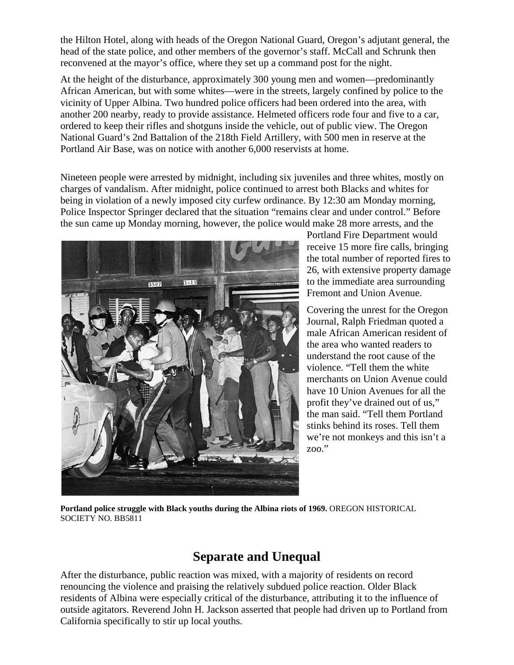the Hilton Hotel, along with heads of the Oregon National Guard, Oregon's adjutant general, the head of the state police, and other members of the governor's staff. McCall and Schrunk then reconvened at the mayor's office, where they set up a command post for the night.

At the height of the disturbance, approximately 300 young men and women—predominantly African American, but with some whites—were in the streets, largely confined by police to the vicinity of Upper Albina. Two hundred police officers had been ordered into the area, with another 200 nearby, ready to provide assistance. Helmeted officers rode four and five to a car, ordered to keep their rifles and shotguns inside the vehicle, out of public view. The Oregon National Guard's 2nd Battalion of the 218th Field Artillery, with 500 men in reserve at the Portland Air Base, was on notice with another 6,000 reservists at home.

Nineteen people were arrested by midnight, including six juveniles and three whites, mostly on charges of vandalism. After midnight, police continued to arrest both Blacks and whites for being in violation of a newly imposed city curfew ordinance. By 12:30 am Monday morning, Police Inspector Springer declared that the situation "remains clear and under control." Before the sun came up Monday morning, however, the police would make 28 more arrests, and the



Portland Fire Department would receive 15 more fire calls, bringing the total number of reported fires to 26, with extensive property damage to the immediate area surrounding Fremont and Union Avenue.

Covering the unrest for the Oregon Journal, Ralph Friedman quoted a male African American resident of the area who wanted readers to understand the root cause of the violence. "Tell them the white merchants on Union Avenue could have 10 Union Avenues for all the profit they've drained out of us," the man said. "Tell them Portland stinks behind its roses. Tell them we're not monkeys and this isn't a zoo."

**Portland police struggle with Black youths during the Albina riots of 1969.** OREGON HISTORICAL SOCIETY NO. BB5811

#### **Separate and Unequal**

After the disturbance, public reaction was mixed, with a majority of residents on record renouncing the violence and praising the relatively subdued police reaction. Older Black residents of Albina were especially critical of the disturbance, attributing it to the influence of outside agitators. Reverend John H. Jackson asserted that people had driven up to Portland from California specifically to stir up local youths.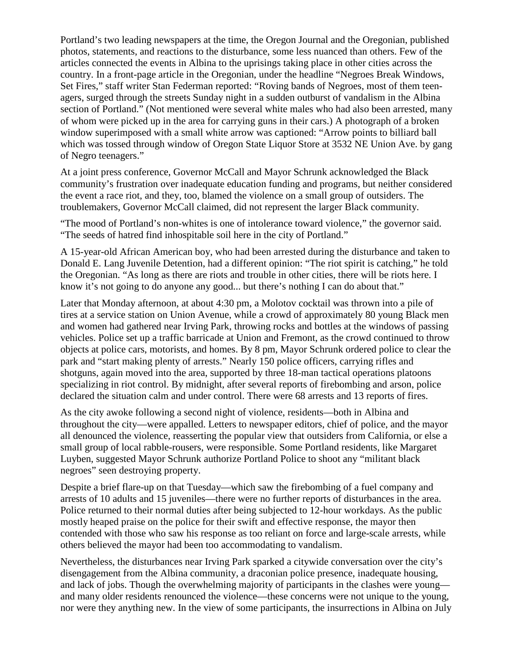Portland's two leading newspapers at the time, the Oregon Journal and the Oregonian, published photos, statements, and reactions to the disturbance, some less nuanced than others. Few of the articles connected the events in Albina to the uprisings taking place in other cities across the country. In a front-page article in the Oregonian, under the headline "Negroes Break Windows, Set Fires," staff writer Stan Federman reported: "Roving bands of Negroes, most of them teenagers, surged through the streets Sunday night in a sudden outburst of vandalism in the Albina section of Portland." (Not mentioned were several white males who had also been arrested, many of whom were picked up in the area for carrying guns in their cars.) A photograph of a broken window superimposed with a small white arrow was captioned: "Arrow points to billiard ball which was tossed through window of Oregon State Liquor Store at 3532 NE Union Ave. by gang of Negro teenagers."

At a joint press conference, Governor McCall and Mayor Schrunk acknowledged the Black community's frustration over inadequate education funding and programs, but neither considered the event a race riot, and they, too, blamed the violence on a small group of outsiders. The troublemakers, Governor McCall claimed, did not represent the larger Black community.

"The mood of Portland's non-whites is one of intolerance toward violence," the governor said. "The seeds of hatred find inhospitable soil here in the city of Portland."

A 15-year-old African American boy, who had been arrested during the disturbance and taken to Donald E. Lang Juvenile Detention, had a different opinion: "The riot spirit is catching," he told the Oregonian. "As long as there are riots and trouble in other cities, there will be riots here. I know it's not going to do anyone any good... but there's nothing I can do about that."

Later that Monday afternoon, at about 4:30 pm, a Molotov cocktail was thrown into a pile of tires at a service station on Union Avenue, while a crowd of approximately 80 young Black men and women had gathered near Irving Park, throwing rocks and bottles at the windows of passing vehicles. Police set up a traffic barricade at Union and Fremont, as the crowd continued to throw objects at police cars, motorists, and homes. By 8 pm, Mayor Schrunk ordered police to clear the park and "start making plenty of arrests." Nearly 150 police officers, carrying rifles and shotguns, again moved into the area, supported by three 18-man tactical operations platoons specializing in riot control. By midnight, after several reports of firebombing and arson, police declared the situation calm and under control. There were 68 arrests and 13 reports of fires.

As the city awoke following a second night of violence, residents—both in Albina and throughout the city—were appalled. Letters to newspaper editors, chief of police, and the mayor all denounced the violence, reasserting the popular view that outsiders from California, or else a small group of local rabble-rousers, were responsible. Some Portland residents, like Margaret Luyben, suggested Mayor Schrunk authorize Portland Police to shoot any "militant black negroes" seen destroying property.

Despite a brief flare-up on that Tuesday—which saw the firebombing of a fuel company and arrests of 10 adults and 15 juveniles—there were no further reports of disturbances in the area. Police returned to their normal duties after being subjected to 12-hour workdays. As the public mostly heaped praise on the police for their swift and effective response, the mayor then contended with those who saw his response as too reliant on force and large-scale arrests, while others believed the mayor had been too accommodating to vandalism.

Nevertheless, the disturbances near Irving Park sparked a citywide conversation over the city's disengagement from the Albina community, a draconian police presence, inadequate housing, and lack of jobs. Though the overwhelming majority of participants in the clashes were young and many older residents renounced the violence—these concerns were not unique to the young, nor were they anything new. In the view of some participants, the insurrections in Albina on July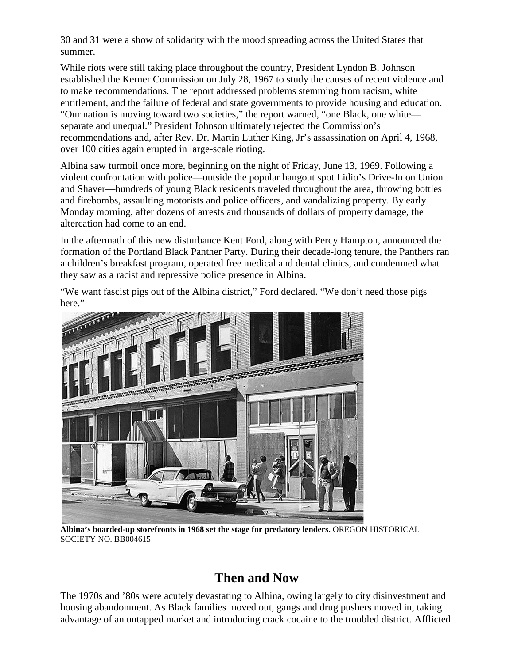30 and 31 were a show of solidarity with the mood spreading across the United States that summer.

While riots were still taking place throughout the country, President Lyndon B. Johnson established the Kerner Commission on July 28, 1967 to study the causes of recent violence and to make recommendations. The report addressed problems stemming from racism, white entitlement, and the failure of federal and state governments to provide housing and education. "Our nation is moving toward two societies," the report warned, "one Black, one white separate and unequal." President Johnson ultimately rejected the Commission's recommendations and, after Rev. Dr. Martin Luther King, Jr's assassination on April 4, 1968, over 100 cities again erupted in large-scale rioting.

Albina saw turmoil once more, beginning on the night of Friday, June 13, 1969. Following a violent confrontation with police—outside the popular hangout spot Lidio's Drive-In on Union and Shaver—hundreds of young Black residents traveled throughout the area, throwing bottles and firebombs, assaulting motorists and police officers, and vandalizing property. By early Monday morning, after dozens of arrests and thousands of dollars of property damage, the altercation had come to an end.

In the aftermath of this new disturbance Kent Ford, along with Percy Hampton, announced the formation of the Portland Black Panther Party. During their decade-long tenure, the Panthers ran a children's breakfast program, operated free medical and dental clinics, and condemned what they saw as a racist and repressive police presence in Albina.

"We want fascist pigs out of the Albina district," Ford declared. "We don't need those pigs here."



**Albina's boarded-up storefronts in 1968 set the stage for predatory lenders.** OREGON HISTORICAL SOCIETY NO. BB004615

#### **Then and Now**

The 1970s and '80s were acutely devastating to Albina, owing largely to city disinvestment and housing abandonment. As Black families moved out, gangs and drug pushers moved in, taking advantage of an untapped market and introducing crack cocaine to the troubled district. Afflicted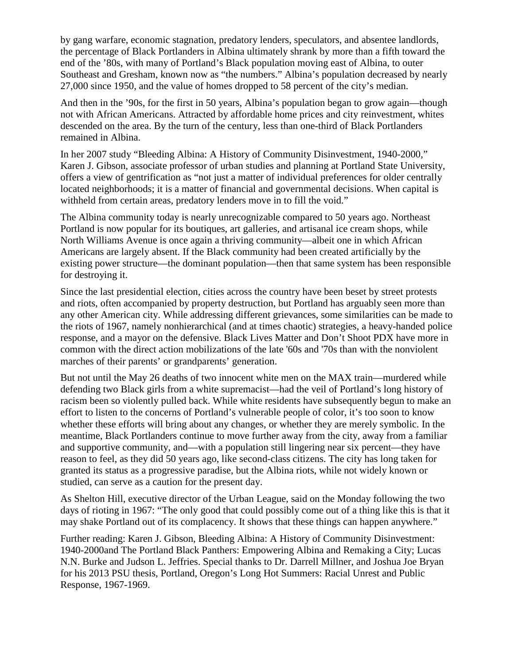by gang warfare, economic stagnation, predatory lenders, speculators, and absentee landlords, the percentage of Black Portlanders in Albina ultimately shrank by more than a fifth toward the end of the '80s, with many of Portland's Black population moving east of Albina, to outer Southeast and Gresham, known now as "the numbers." Albina's population decreased by nearly 27,000 since 1950, and the value of homes dropped to 58 percent of the city's median.

And then in the '90s, for the first in 50 years, Albina's population began to grow again—though not with African Americans. Attracted by affordable home prices and city reinvestment, whites descended on the area. By the turn of the century, less than one-third of Black Portlanders remained in Albina.

In her 2007 study "Bleeding Albina: A History of Community Disinvestment, 1940-2000," Karen J. Gibson, associate professor of urban studies and planning at Portland State University, offers a view of gentrification as "not just a matter of individual preferences for older centrally located neighborhoods; it is a matter of financial and governmental decisions. When capital is withheld from certain areas, predatory lenders move in to fill the void."

The Albina community today is nearly unrecognizable compared to 50 years ago. Northeast Portland is now popular for its boutiques, art galleries, and artisanal ice cream shops, while North Williams Avenue is once again a thriving community—albeit one in which African Americans are largely absent. If the Black community had been created artificially by the existing power structure—the dominant population—then that same system has been responsible for destroying it.

Since the last presidential election, cities across the country have been beset by street protests and riots, often accompanied by property destruction, but Portland has arguably seen more than any other American city. While addressing different grievances, some similarities can be made to the riots of 1967, namely nonhierarchical (and at times chaotic) strategies, a heavy-handed police response, and a mayor on the defensive. Black Lives Matter and Don't Shoot PDX have more in common with the direct action mobilizations of the late '60s and '70s than with the nonviolent marches of their parents' or grandparents' generation.

But not until the May 26 deaths of two innocent white men on the MAX train—murdered while defending two Black girls from a white supremacist—had the veil of Portland's long history of racism been so violently pulled back. While white residents have subsequently begun to make an effort to listen to the concerns of Portland's vulnerable people of color, it's too soon to know whether these efforts will bring about any changes, or whether they are merely symbolic. In the meantime, Black Portlanders continue to move further away from the city, away from a familiar and supportive community, and—with a population still lingering near six percent—they have reason to feel, as they did 50 years ago, like second-class citizens. The city has long taken for granted its status as a progressive paradise, but the Albina riots, while not widely known or studied, can serve as a caution for the present day.

As Shelton Hill, executive director of the Urban League, said on the Monday following the two days of rioting in 1967: "The only good that could possibly come out of a thing like this is that it may shake Portland out of its complacency. It shows that these things can happen anywhere."

Further reading: Karen J. Gibson, Bleeding Albina: A History of Community Disinvestment: 1940-2000and The Portland Black Panthers: Empowering Albina and Remaking a City; Lucas N.N. Burke and Judson L. Jeffries. Special thanks to Dr. Darrell Millner, and Joshua Joe Bryan for his 2013 PSU thesis, Portland, Oregon's Long Hot Summers: Racial Unrest and Public Response, 1967-1969.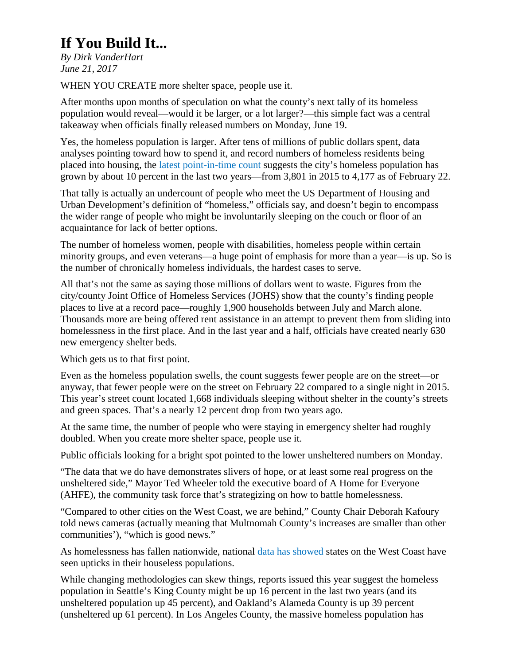# **If You Build It...**

*By Dirk VanderHart June 21, 2017*

WHEN YOU CREATE more shelter space, people use it.

After months upon months of speculation on what the county's next tally of its homeless population would reveal—would it be larger, or a lot larger?—this simple fact was a central takeaway when officials finally released numbers on Monday, June 19.

Yes, the homeless population is larger. After tens of millions of public dollars spent, data analyses pointing toward how to spend it, and record numbers of homeless residents being placed into housing, the [latest point-in-time count](https://assets.documentcloud.org/documents/3868764/PIT-Data.pdf) suggests the city's homeless population has grown by about 10 percent in the last two years—from 3,801 in 2015 to 4,177 as of February 22.

That tally is actually an undercount of people who meet the US Department of Housing and Urban Development's definition of "homeless," officials say, and doesn't begin to encompass the wider range of people who might be involuntarily sleeping on the couch or floor of an acquaintance for lack of better options.

The number of homeless women, people with disabilities, homeless people within certain minority groups, and even veterans—a huge point of emphasis for more than a year—is up. So is the number of chronically homeless individuals, the hardest cases to serve.

All that's not the same as saying those millions of dollars went to waste. Figures from the city/county Joint Office of Homeless Services (JOHS) show that the county's finding people places to live at a record pace—roughly 1,900 households between July and March alone. Thousands more are being offered rent assistance in an attempt to prevent them from sliding into homelessness in the first place. And in the last year and a half, officials have created nearly 630 new emergency shelter beds.

Which gets us to that first point.

Even as the homeless population swells, the count suggests fewer people are on the street—or anyway, that fewer people were on the street on February 22 compared to a single night in 2015. This year's street count located 1,668 individuals sleeping without shelter in the county's streets and green spaces. That's a nearly 12 percent drop from two years ago.

At the same time, the number of people who were staying in emergency shelter had roughly doubled. When you create more shelter space, people use it.

Public officials looking for a bright spot pointed to the lower unsheltered numbers on Monday.

"The data that we do have demonstrates slivers of hope, or at least some real progress on the unsheltered side," Mayor Ted Wheeler told the executive board of A Home for Everyone (AHFE), the community task force that's strategizing on how to battle homelessness.

"Compared to other cities on the West Coast, we are behind," County Chair Deborah Kafoury told news cameras (actually meaning that Multnomah County's increases are smaller than other communities'), "which is good news."

As homelessness has fallen nationwide, national [data has showed](http://www.portlandmercury.com/portland/think-portlands-homelessness-problem-is-bad/Content?oid=17178247) states on the West Coast have seen upticks in their houseless populations.

While changing methodologies can skew things, reports issued this year suggest the homeless population in Seattle's King County might be up 16 percent in the last two years (and its unsheltered population up 45 percent), and Oakland's Alameda County is up 39 percent (unsheltered up 61 percent). In Los Angeles County, the massive homeless population has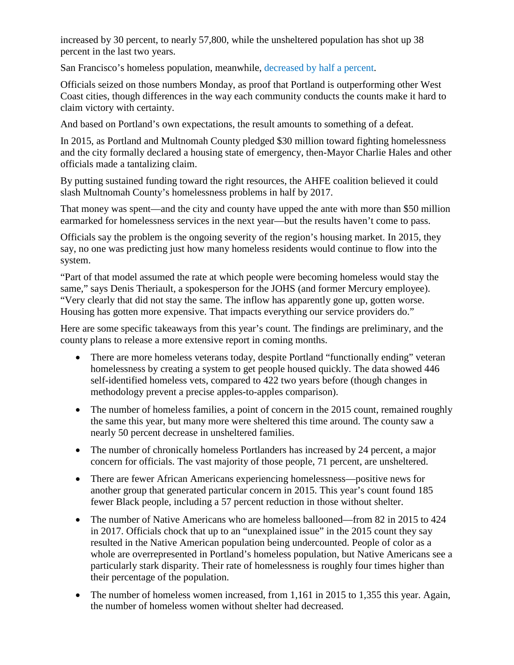increased by 30 percent, to nearly 57,800, while the unsheltered population has shot up 38 percent in the last two years.

San Francisco's homeless population, meanwhile, [decreased by half a percent.](http://www.sfchronicle.com/bayarea/article/SF-homeless-count-reveals-impact-of-programs-for-11227647.php)

Officials seized on those numbers Monday, as proof that Portland is outperforming other West Coast cities, though differences in the way each community conducts the counts make it hard to claim victory with certainty.

And based on Portland's own expectations, the result amounts to something of a defeat.

In 2015, as Portland and Multnomah County pledged \$30 million toward fighting homelessness and the city formally declared a housing state of emergency, then-Mayor Charlie Hales and other officials made a tantalizing claim.

By putting sustained funding toward the right resources, the AHFE coalition believed it could slash Multnomah County's homelessness problems in half by 2017.

That money was spent—and the city and county have upped the ante with more than \$50 million earmarked for homelessness services in the next year—but the results haven't come to pass.

Officials say the problem is the ongoing severity of the region's housing market. In 2015, they say, no one was predicting just how many homeless residents would continue to flow into the system.

"Part of that model assumed the rate at which people were becoming homeless would stay the same," says Denis Theriault, a spokesperson for the JOHS (and former Mercury employee). "Very clearly that did not stay the same. The inflow has apparently gone up, gotten worse. Housing has gotten more expensive. That impacts everything our service providers do."

Here are some specific takeaways from this year's count. The findings are preliminary, and the county plans to release a more extensive report in coming months.

- There are more homeless veterans today, despite Portland "functionally ending" veteran homelessness by creating a system to get people housed quickly. The data showed 446 self-identified homeless vets, compared to 422 two years before (though changes in methodology prevent a precise apples-to-apples comparison).
- The number of homeless families, a point of concern in the 2015 count, remained roughly the same this year, but many more were sheltered this time around. The county saw a nearly 50 percent decrease in unsheltered families.
- The number of chronically homeless Portlanders has increased by 24 percent, a major concern for officials. The vast majority of those people, 71 percent, are unsheltered.
- There are fewer African Americans experiencing homelessness—positive news for another group that generated particular concern in 2015. This year's count found 185 fewer Black people, including a 57 percent reduction in those without shelter.
- The number of Native Americans who are homeless ballooned—from 82 in 2015 to 424 in 2017. Officials chock that up to an "unexplained issue" in the 2015 count they say resulted in the Native American population being undercounted. People of color as a whole are overrepresented in Portland's homeless population, but Native Americans see a particularly stark disparity. Their rate of homelessness is roughly four times higher than their percentage of the population.
- The number of homeless women increased, from 1,161 in 2015 to 1,355 this year. Again, the number of homeless women without shelter had decreased.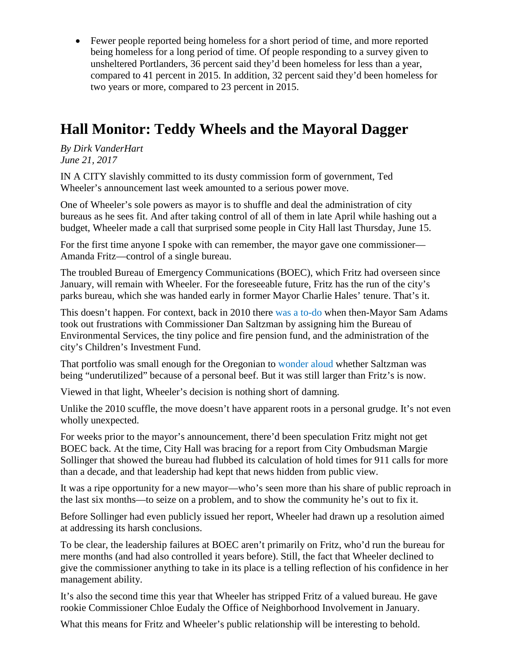• Fewer people reported being homeless for a short period of time, and more reported being homeless for a long period of time. Of people responding to a survey given to unsheltered Portlanders, 36 percent said they'd been homeless for less than a year, compared to 41 percent in 2015. In addition, 32 percent said they'd been homeless for two years or more, compared to 23 percent in 2015.

# **Hall Monitor: Teddy Wheels and the Mayoral Dagger**

*By Dirk VanderHart June 21, 2017*

IN A CITY slavishly committed to its dusty commission form of government, Ted Wheeler's announcement last week amounted to a serious power move.

One of Wheeler's sole powers as mayor is to shuffle and deal the administration of city bureaus as he sees fit. And after taking control of all of them in late April while hashing out a budget, Wheeler made a call that surprised some people in City Hall last Thursday, June 15.

For the first time anyone I spoke with can remember, the mayor gave one commissioner— Amanda Fritz—control of a single bureau.

The troubled Bureau of Emergency Communications (BOEC), which Fritz had overseen since January, will remain with Wheeler. For the foreseeable future, Fritz has the run of the city's parks bureau, which she was handed early in former Mayor Charlie Hales' tenure. That's it.

This doesn't happen. For context, back in 2010 there [was a to-do](http://www.oregonlive.com/portland/index.ssf/2010/10/city_hall_commissioner_dan_sal.html) when then-Mayor Sam Adams took out frustrations with Commissioner Dan Saltzman by assigning him the Bureau of Environmental Services, the tiny police and fire pension fund, and the administration of the city's Children's Investment Fund.

That portfolio was small enough for the Oregonian to [wonder aloud](http://www.oregonlive.com/portland/index.ssf/2011/03/portland_mayor_sam_adams_gives.html) whether Saltzman was being "underutilized" because of a personal beef. But it was still larger than Fritz's is now.

Viewed in that light, Wheeler's decision is nothing short of damning.

Unlike the 2010 scuffle, the move doesn't have apparent roots in a personal grudge. It's not even wholly unexpected.

For weeks prior to the mayor's announcement, there'd been speculation Fritz might not get BOEC back. At the time, City Hall was bracing for a report from City Ombudsman Margie Sollinger that showed the bureau had flubbed its calculation of hold times for 911 calls for more than a decade, and that leadership had kept that news hidden from public view.

It was a ripe opportunity for a new mayor—who's seen more than his share of public reproach in the last six months—to seize on a problem, and to show the community he's out to fix it.

Before Sollinger had even publicly issued her report, Wheeler had drawn up a resolution aimed at addressing its harsh conclusions.

To be clear, the leadership failures at BOEC aren't primarily on Fritz, who'd run the bureau for mere months (and had also controlled it years before). Still, the fact that Wheeler declined to give the commissioner anything to take in its place is a telling reflection of his confidence in her management ability.

It's also the second time this year that Wheeler has stripped Fritz of a valued bureau. He gave rookie Commissioner Chloe Eudaly the Office of Neighborhood Involvement in January.

What this means for Fritz and Wheeler's public relationship will be interesting to behold.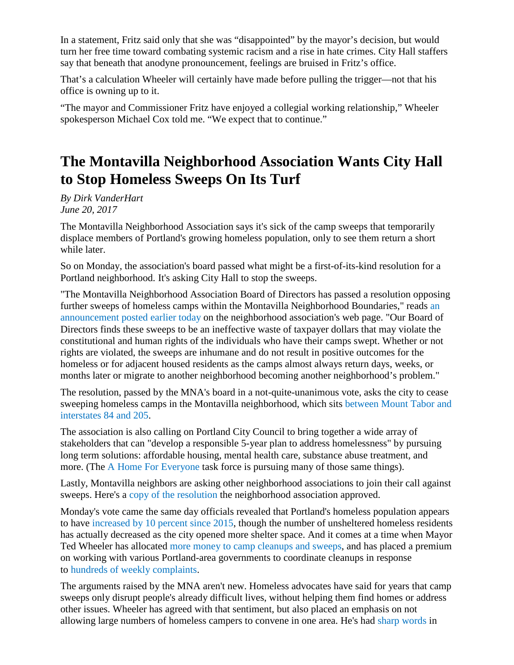In a statement, Fritz said only that she was "disappointed" by the mayor's decision, but would turn her free time toward combating systemic racism and a rise in hate crimes. City Hall staffers say that beneath that anodyne pronouncement, feelings are bruised in Fritz's office.

That's a calculation Wheeler will certainly have made before pulling the trigger—not that his office is owning up to it.

"The mayor and Commissioner Fritz have enjoyed a collegial working relationship," Wheeler spokesperson Michael Cox told me. "We expect that to continue."

# **The Montavilla Neighborhood Association Wants City Hall to Stop Homeless Sweeps On Its Turf**

*By Dirk VanderHart June 20, 2017*

The Montavilla Neighborhood Association says it's sick of the camp sweeps that temporarily displace members of Portland's growing homeless population, only to see them return a short while later.

So on Monday, the association's board passed what might be a first-of-its-kind resolution for a Portland neighborhood. It's asking City Hall to stop the sweeps.

"The Montavilla Neighborhood Association Board of Directors has passed a resolution opposing further sweeps of homeless camps within the Montavilla Neighborhood Boundaries," reads [an](http://www.montavillapdx.org/2017/06/20/resolution-homeless-camp-sweeps/)  [announcement posted earlier today](http://www.montavillapdx.org/2017/06/20/resolution-homeless-camp-sweeps/) on the neighborhood association's web page. "Our Board of Directors finds these sweeps to be an ineffective waste of taxpayer dollars that may violate the constitutional and human rights of the individuals who have their camps swept. Whether or not rights are violated, the sweeps are inhumane and do not result in positive outcomes for the homeless or for adjacent housed residents as the camps almost always return days, weeks, or months later or migrate to another neighborhood becoming another neighborhood's problem."

The resolution, passed by the MNA's board in a not-quite-unanimous vote, asks the city to cease sweeping homeless camps in the Montavilla neighborhood, which sits [between Mount Tabor and](http://www.montavillapdx.org/neighborhoodmap/)  [interstates 84 and 205.](http://www.montavillapdx.org/neighborhoodmap/)

The association is also calling on Portland City Council to bring together a wide array of stakeholders that can "develop a responsible 5-year plan to address homelessness" by pursuing long term solutions: affordable housing, mental health care, substance abuse treatment, and more. (The [A Home For Everyone](http://ahomeforeveryone.net/) task force is pursuing many of those same things).

Lastly, Montavilla neighbors are asking other neighborhood associations to join their call against sweeps. Here's a [copy of the resolution](https://drive.google.com/file/d/0Bx4SNRrlVvsdMlRaaW1xMm9GSEU/view) the neighborhood association approved.

Monday's vote came the same day officials revealed that Portland's homeless population appears to have [increased by 10 percent since 2015,](http://www.portlandmercury.com/blogtown/2017/06/19/19099481/portlands-homeless-population-is-up-10-percent-but-fewer-people-are-unsheltered) though the number of unsheltered homeless residents has actually decreased as the city opened more shelter space. And it comes at a time when Mayor Ted Wheeler has allocated [more money to camp cleanups and sweeps,](http://www.portlandmercury.com/blogtown/2017/05/01/18986101/wheelers-first-budget-pushes-maintenance-camp-cleanups-and-more) and has placed a premium on working with various Portland-area governments to coordinate cleanups in response to [hundreds of weekly complaints.](https://www.portlandoregon.gov/toolkit/71771)

The arguments raised by the MNA aren't new. Homeless advocates have said for years that camp sweeps only disrupt people's already difficult lives, without helping them find homes or address other issues. Wheeler has agreed with that sentiment, but also placed an emphasis on not allowing large numbers of homeless campers to convene in one area. He's had [sharp words](http://katu.com/news/your-voice-your-vote/your-voice-your-vote-mayor-wheeler-offers-update-on-portland-homelessness) in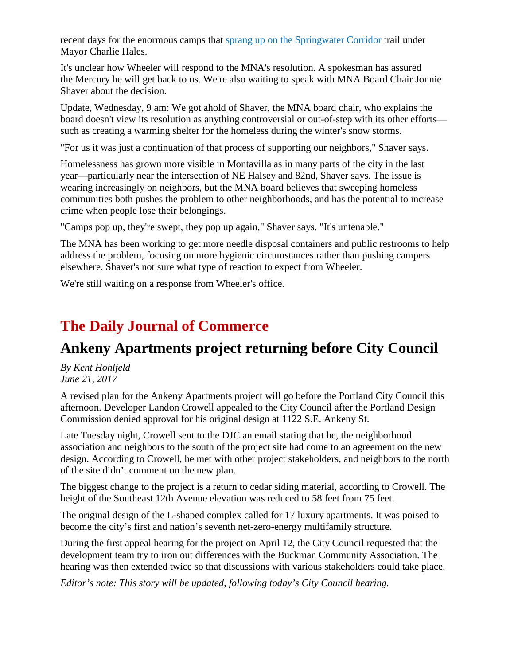recent days for the enormous camps that [sprang up on the Springwater Corridor](http://www.portlandmercury.com/news/2016/07/27/18420588/as-portlands-largest-ever-homeless-sweep-looms-advocates-plot-resistance) trail under Mayor Charlie Hales.

It's unclear how Wheeler will respond to the MNA's resolution. A spokesman has assured the Mercury he will get back to us. We're also waiting to speak with MNA Board Chair Jonnie Shaver about the decision.

Update, Wednesday, 9 am: We got ahold of Shaver, the MNA board chair, who explains the board doesn't view its resolution as anything controversial or out-of-step with its other efforts such as creating a warming shelter for the homeless during the winter's snow storms.

"For us it was just a continuation of that process of supporting our neighbors," Shaver says.

Homelessness has grown more visible in Montavilla as in many parts of the city in the last year—particularly near the intersection of NE Halsey and 82nd, Shaver says. The issue is wearing increasingly on neighbors, but the MNA board believes that sweeping homeless communities both pushes the problem to other neighborhoods, and has the potential to increase crime when people lose their belongings.

"Camps pop up, they're swept, they pop up again," Shaver says. "It's untenable."

The MNA has been working to get more needle disposal containers and public restrooms to help address the problem, focusing on more hygienic circumstances rather than pushing campers elsewhere. Shaver's not sure what type of reaction to expect from Wheeler.

We're still waiting on a response from Wheeler's office.

### **The Daily Journal of Commerce**

### **Ankeny Apartments project returning before City Council**

*By Kent Hohlfeld June 21, 2017*

A revised plan for the Ankeny Apartments project will go before the Portland City Council this afternoon. Developer Landon Crowell appealed to the City Council after the Portland Design Commission denied approval for his original design at 1122 S.E. Ankeny St.

Late Tuesday night, Crowell sent to the DJC an email stating that he, the neighborhood association and neighbors to the south of the project site had come to an agreement on the new design. According to Crowell, he met with other project stakeholders, and neighbors to the north of the site didn't comment on the new plan.

The biggest change to the project is a return to cedar siding material, according to Crowell. The height of the Southeast 12th Avenue elevation was reduced to 58 feet from 75 feet.

The original design of the L-shaped complex called for 17 luxury apartments. It was poised to become the city's first and nation's seventh net-zero-energy multifamily structure.

During the first appeal hearing for the project on April 12, the City Council requested that the development team try to iron out differences with the Buckman Community Association. The hearing was then extended twice so that discussions with various stakeholders could take place.

*Editor's note: This story will be updated, following today's City Council hearing.*